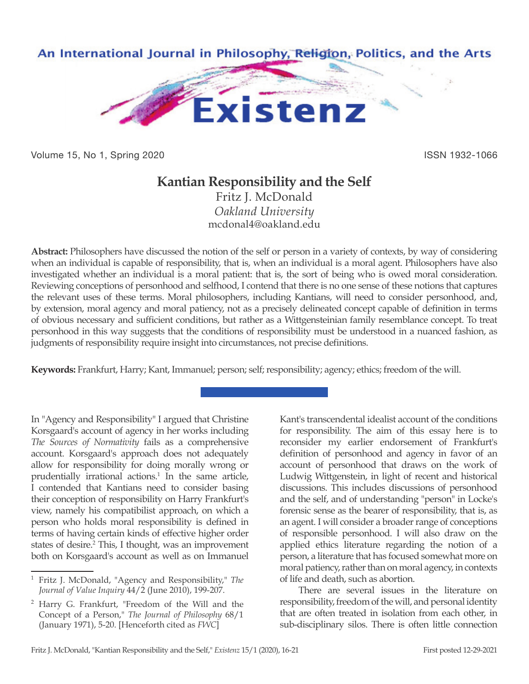

Volume 15, No 1, Spring 2020 **ISSN 1932-1066** ISSN 1932-1066

## **Kantian Responsibility and the Self**

Fritz J. McDonald *Oakland University* mcdonal4@oakland.edu

**Abstract:** Philosophers have discussed the notion of the self or person in a variety of contexts, by way of considering when an individual is capable of responsibility, that is, when an individual is a moral agent. Philosophers have also investigated whether an individual is a moral patient: that is, the sort of being who is owed moral consideration. Reviewing conceptions of personhood and selfhood, I contend that there is no one sense of these notions that captures the relevant uses of these terms. Moral philosophers, including Kantians, will need to consider personhood, and, by extension, moral agency and moral patiency, not as a precisely delineated concept capable of definition in terms of obvious necessary and sufficient conditions, but rather as a Wittgensteinian family resemblance concept. To treat personhood in this way suggests that the conditions of responsibility must be understood in a nuanced fashion, as judgments of responsibility require insight into circumstances, not precise definitions.

**Keywords:** Frankfurt, Harry; Kant, Immanuel; person; self; responsibility; agency; ethics; freedom of the will.

In "Agency and Responsibility" I argued that Christine Korsgaard's account of agency in her works including *The Sources of Normativity* fails as a comprehensive account. Korsgaard's approach does not adequately allow for responsibility for doing morally wrong or prudentially irrational actions.<sup>1</sup> In the same article, I contended that Kantians need to consider basing their conception of responsibility on Harry Frankfurt's view, namely his compatibilist approach, on which a person who holds moral responsibility is defined in terms of having certain kinds of effective higher order states of desire.<sup>2</sup> This, I thought, was an improvement both on Korsgaard's account as well as on Immanuel

Kant's transcendental idealist account of the conditions for responsibility. The aim of this essay here is to reconsider my earlier endorsement of Frankfurt's definition of personhood and agency in favor of an account of personhood that draws on the work of Ludwig Wittgenstein, in light of recent and historical discussions. This includes discussions of personhood and the self, and of understanding "person" in Locke's forensic sense as the bearer of responsibility, that is, as an agent. I will consider a broader range of conceptions of responsible personhood. I will also draw on the applied ethics literature regarding the notion of a person, a literature that has focused somewhat more on moral patiency, rather than on moral agency, in contexts of life and death, such as abortion.

There are several issues in the literature on responsibility, freedom of the will, and personal identity that are often treated in isolation from each other, in sub-disciplinary silos. There is often little connection

<sup>1</sup> Fritz J. McDonald, "Agency and Responsibility," *The Journal of Value Inquiry* 44/2 (June 2010), 199-207.

<sup>2</sup> Harry G. Frankfurt, "Freedom of the Will and the Concept of a Person," *The Journal of Philosophy* 68/1 (January 1971), 5-20. [Henceforth cited as *FWC*]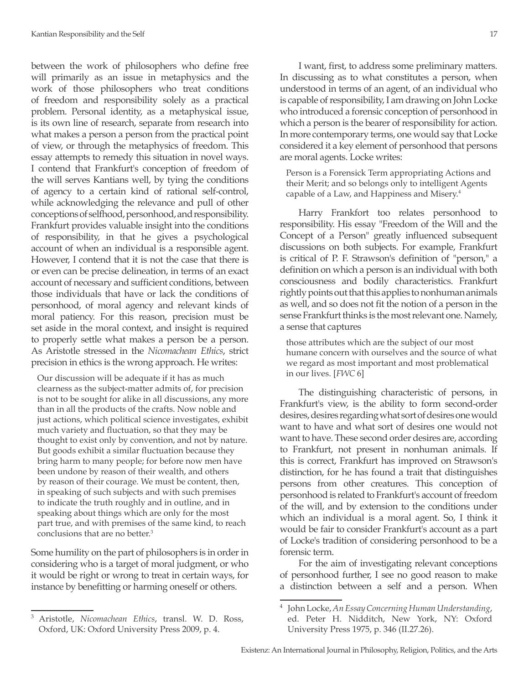between the work of philosophers who define free will primarily as an issue in metaphysics and the work of those philosophers who treat conditions of freedom and responsibility solely as a practical problem. Personal identity, as a metaphysical issue, is its own line of research, separate from research into what makes a person a person from the practical point of view, or through the metaphysics of freedom. This essay attempts to remedy this situation in novel ways. I contend that Frankfurt's conception of freedom of the will serves Kantians well, by tying the conditions of agency to a certain kind of rational self-control, while acknowledging the relevance and pull of other conceptions of selfhood, personhood, and responsibility. Frankfurt provides valuable insight into the conditions of responsibility, in that he gives a psychological account of when an individual is a responsible agent. However, I contend that it is not the case that there is or even can be precise delineation, in terms of an exact account of necessary and sufficient conditions, between those individuals that have or lack the conditions of personhood, of moral agency and relevant kinds of moral patiency. For this reason, precision must be set aside in the moral context, and insight is required to properly settle what makes a person be a person. As Aristotle stressed in the *Nicomachean Ethics*, strict precision in ethics is the wrong approach. He writes:

Our discussion will be adequate if it has as much clearness as the subject-matter admits of, for precision is not to be sought for alike in all discussions, any more than in all the products of the crafts. Now noble and just actions, which political science investigates, exhibit much variety and fluctuation, so that they may be thought to exist only by convention, and not by nature. But goods exhibit a similar fluctuation because they bring harm to many people; for before now men have been undone by reason of their wealth, and others by reason of their courage. We must be content, then, in speaking of such subjects and with such premises to indicate the truth roughly and in outline, and in speaking about things which are only for the most part true, and with premises of the same kind, to reach conclusions that are no better.3

Some humility on the part of philosophers is in order in considering who is a target of moral judgment, or who it would be right or wrong to treat in certain ways, for instance by benefitting or harming oneself or others.

I want, first, to address some preliminary matters. In discussing as to what constitutes a person, when understood in terms of an agent, of an individual who is capable of responsibility, I am drawing on John Locke who introduced a forensic conception of personhood in which a person is the bearer of responsibility for action. In more contemporary terms, one would say that Locke considered it a key element of personhood that persons are moral agents. Locke writes:

Person is a Forensick Term appropriating Actions and their Merit; and so belongs only to intelligent Agents capable of a Law, and Happiness and Misery.4

Harry Frankfort too relates personhood to responsibility. His essay "Freedom of the Will and the Concept of a Person" greatly influenced subsequent discussions on both subjects. For example, Frankfurt is critical of P. F. Strawson's definition of "person," a definition on which a person is an individual with both consciousness and bodily characteristics. Frankfurt rightly points out that this applies to nonhuman animals as well, and so does not fit the notion of a person in the sense Frankfurt thinks is the most relevant one. Namely, a sense that captures

those attributes which are the subject of our most humane concern with ourselves and the source of what we regard as most important and most problematical in our lives. [*FWC* 6]

The distinguishing characteristic of persons, in Frankfurt's view, is the ability to form second-order desires, desires regarding what sort of desires one would want to have and what sort of desires one would not want to have. These second order desires are, according to Frankfurt, not present in nonhuman animals. If this is correct, Frankfurt has improved on Strawson's distinction, for he has found a trait that distinguishes persons from other creatures. This conception of personhood is related to Frankfurt's account of freedom of the will, and by extension to the conditions under which an individual is a moral agent. So, I think it would be fair to consider Frankfurt's account as a part of Locke's tradition of considering personhood to be a forensic term.

For the aim of investigating relevant conceptions of personhood further, I see no good reason to make a distinction between a self and a person. When

<sup>3</sup> Aristotle, *Nicomachean Ethics*, transl. W. D. Ross, Oxford, UK: Oxford University Press 2009, p. 4.

<sup>4</sup> John Locke, *An Essay Concerning Human Understanding*, ed. Peter H. Nidditch, New York, NY: Oxford University Press 1975, p. 346 (II.27.26).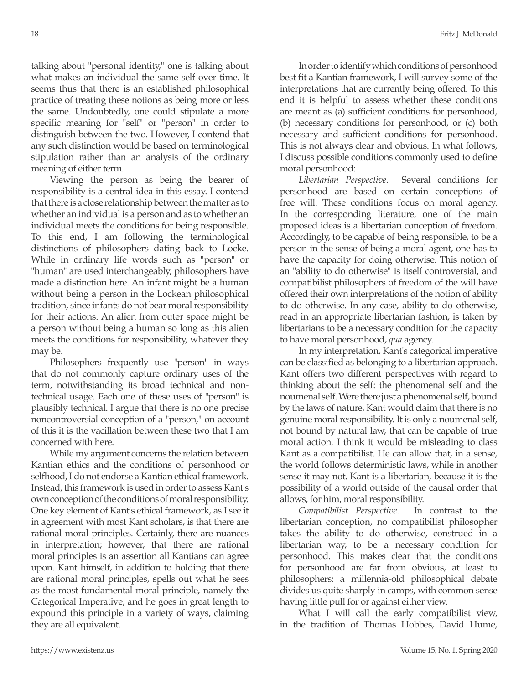talking about "personal identity," one is talking about what makes an individual the same self over time. It seems thus that there is an established philosophical practice of treating these notions as being more or less the same. Undoubtedly, one could stipulate a more specific meaning for "self" or "person" in order to distinguish between the two. However, I contend that any such distinction would be based on terminological stipulation rather than an analysis of the ordinary meaning of either term.

Viewing the person as being the bearer of responsibility is a central idea in this essay. I contend that there is a close relationship between the matter as to whether an individual is a person and as to whether an individual meets the conditions for being responsible. To this end, I am following the terminological distinctions of philosophers dating back to Locke. While in ordinary life words such as "person" or "human" are used interchangeably, philosophers have made a distinction here. An infant might be a human without being a person in the Lockean philosophical tradition, since infants do not bear moral responsibility for their actions. An alien from outer space might be a person without being a human so long as this alien meets the conditions for responsibility, whatever they may be.

Philosophers frequently use "person" in ways that do not commonly capture ordinary uses of the term, notwithstanding its broad technical and nontechnical usage. Each one of these uses of "person" is plausibly technical. I argue that there is no one precise noncontroversial conception of a "person," on account of this it is the vacillation between these two that I am concerned with here.

While my argument concerns the relation between Kantian ethics and the conditions of personhood or selfhood, I do not endorse a Kantian ethical framework. Instead, this framework is used in order to assess Kant's own conception of the conditions of moral responsibility. One key element of Kant's ethical framework, as I see it in agreement with most Kant scholars, is that there are rational moral principles. Certainly, there are nuances in interpretation; however, that there are rational moral principles is an assertion all Kantians can agree upon. Kant himself, in addition to holding that there are rational moral principles, spells out what he sees as the most fundamental moral principle, namely the Categorical Imperative, and he goes in great length to expound this principle in a variety of ways, claiming they are all equivalent.

In order to identify which conditions of personhood best fit a Kantian framework, I will survey some of the interpretations that are currently being offered. To this end it is helpful to assess whether these conditions are meant as (a) sufficient conditions for personhood, (b) necessary conditions for personhood, or (c) both necessary and sufficient conditions for personhood. This is not always clear and obvious. In what follows, I discuss possible conditions commonly used to define moral personhood:

*Libertarian Perspective*. Several conditions for personhood are based on certain conceptions of free will. These conditions focus on moral agency. In the corresponding literature, one of the main proposed ideas is a libertarian conception of freedom. Accordingly, to be capable of being responsible, to be a person in the sense of being a moral agent, one has to have the capacity for doing otherwise. This notion of an "ability to do otherwise" is itself controversial, and compatibilist philosophers of freedom of the will have offered their own interpretations of the notion of ability to do otherwise. In any case, ability to do otherwise, read in an appropriate libertarian fashion, is taken by libertarians to be a necessary condition for the capacity to have moral personhood, *qua* agency.

In my interpretation, Kant's categorical imperative can be classified as belonging to a libertarian approach. Kant offers two different perspectives with regard to thinking about the self: the phenomenal self and the noumenal self. Were there just a phenomenal self, bound by the laws of nature, Kant would claim that there is no genuine moral responsibility. It is only a noumenal self, not bound by natural law, that can be capable of true moral action. I think it would be misleading to class Kant as a compatibilist. He can allow that, in a sense, the world follows deterministic laws, while in another sense it may not. Kant is a libertarian, because it is the possibility of a world outside of the causal order that allows, for him, moral responsibility.

*Compatibilist Perspective*. In contrast to the libertarian conception, no compatibilist philosopher takes the ability to do otherwise, construed in a libertarian way, to be a necessary condition for personhood. This makes clear that the conditions for personhood are far from obvious, at least to philosophers: a millennia-old philosophical debate divides us quite sharply in camps, with common sense having little pull for or against either view.

What I will call the early compatibilist view, in the tradition of Thomas Hobbes, David Hume,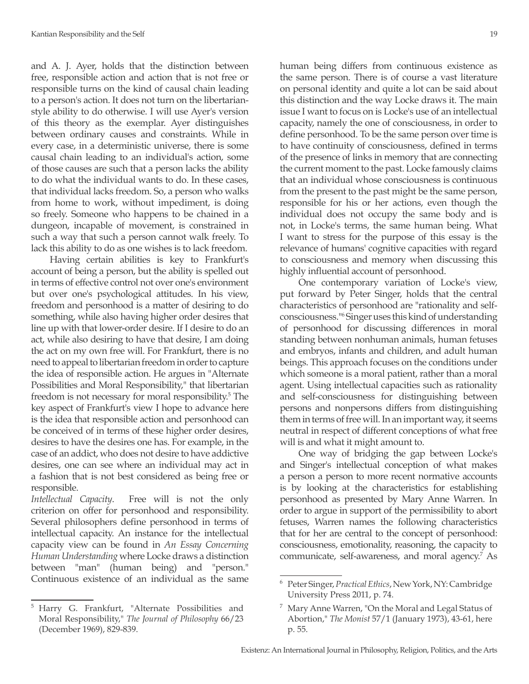and A. J. Ayer, holds that the distinction between free, responsible action and action that is not free or responsible turns on the kind of causal chain leading to a person's action. It does not turn on the libertarianstyle ability to do otherwise. I will use Ayer's version of this theory as the exemplar. Ayer distinguishes between ordinary causes and constraints. While in every case, in a deterministic universe, there is some causal chain leading to an individual's action, some of those causes are such that a person lacks the ability to do what the individual wants to do. In these cases, that individual lacks freedom. So, a person who walks from home to work, without impediment, is doing so freely. Someone who happens to be chained in a dungeon, incapable of movement, is constrained in such a way that such a person cannot walk freely. To lack this ability to do as one wishes is to lack freedom.

Having certain abilities is key to Frankfurt's account of being a person, but the ability is spelled out in terms of effective control not over one's environment but over one's psychological attitudes. In his view, freedom and personhood is a matter of desiring to do something, while also having higher order desires that line up with that lower-order desire. If I desire to do an act, while also desiring to have that desire, I am doing the act on my own free will. For Frankfurt, there is no need to appeal to libertarian freedom in order to capture the idea of responsible action. He argues in "Alternate Possibilities and Moral Responsibility," that libertarian freedom is not necessary for moral responsibility.<sup>5</sup> The key aspect of Frankfurt's view I hope to advance here is the idea that responsible action and personhood can be conceived of in terms of these higher order desires, desires to have the desires one has. For example, in the case of an addict, who does not desire to have addictive desires, one can see where an individual may act in a fashion that is not best considered as being free or responsible.

*Intellectual Capacity*. Free will is not the only criterion on offer for personhood and responsibility. Several philosophers define personhood in terms of intellectual capacity. An instance for the intellectual capacity view can be found in *An Essay Concerning Human Understanding* where Locke draws a distinction between "man" (human being) and "person." Continuous existence of an individual as the same

human being differs from continuous existence as the same person. There is of course a vast literature on personal identity and quite a lot can be said about this distinction and the way Locke draws it. The main issue I want to focus on is Locke's use of an intellectual capacity, namely the one of consciousness, in order to define personhood. To be the same person over time is to have continuity of consciousness, defined in terms of the presence of links in memory that are connecting the current moment to the past. Locke famously claims that an individual whose consciousness is continuous from the present to the past might be the same person, responsible for his or her actions, even though the individual does not occupy the same body and is not, in Locke's terms, the same human being. What I want to stress for the purpose of this essay is the relevance of humans' cognitive capacities with regard to consciousness and memory when discussing this highly influential account of personhood.

One contemporary variation of Locke's view, put forward by Peter Singer, holds that the central characteristics of personhood are "rationality and selfconsciousness."6 Singer uses this kind of understanding of personhood for discussing differences in moral standing between nonhuman animals, human fetuses and embryos, infants and children, and adult human beings. This approach focuses on the conditions under which someone is a moral patient, rather than a moral agent. Using intellectual capacities such as rationality and self-consciousness for distinguishing between persons and nonpersons differs from distinguishing them in terms of free will. In an important way, it seems neutral in respect of different conceptions of what free will is and what it might amount to.

One way of bridging the gap between Locke's and Singer's intellectual conception of what makes a person a person to more recent normative accounts is by looking at the characteristics for establishing personhood as presented by Mary Anne Warren. In order to argue in support of the permissibility to abort fetuses, Warren names the following characteristics that for her are central to the concept of personhood: consciousness, emotionality, reasoning, the capacity to communicate, self-awareness, and moral agency.7 As

<sup>5</sup> Harry G. Frankfurt, "Alternate Possibilities and Moral Responsibility," *The Journal of Philosophy* 66/23 (December 1969), 829-839.

<sup>6</sup> Peter Singer, *Practical Ethics*, New York, NY: Cambridge University Press 2011, p. 74.

 $7$  Mary Anne Warren, "On the Moral and Legal Status of Abortion," *The Monist* 57/1 (January 1973), 43-61, here p. 55.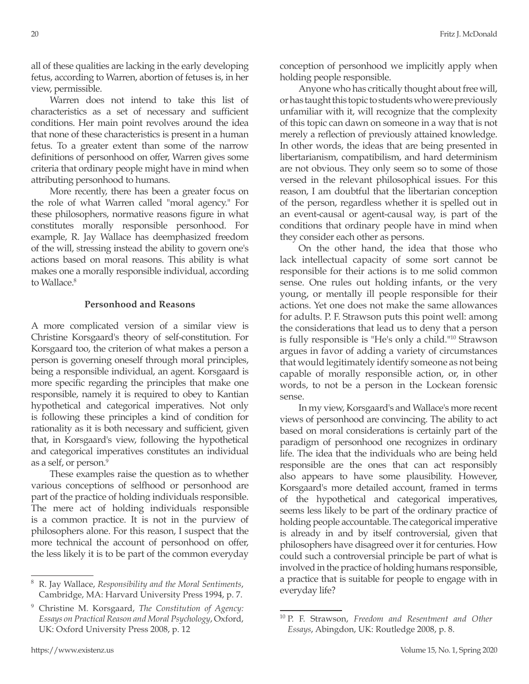all of these qualities are lacking in the early developing fetus, according to Warren, abortion of fetuses is, in her view, permissible.

Warren does not intend to take this list of characteristics as a set of necessary and sufficient conditions. Her main point revolves around the idea that none of these characteristics is present in a human fetus. To a greater extent than some of the narrow definitions of personhood on offer, Warren gives some criteria that ordinary people might have in mind when attributing personhood to humans.

More recently, there has been a greater focus on the role of what Warren called "moral agency." For these philosophers, normative reasons figure in what constitutes morally responsible personhood. For example, R. Jay Wallace has deemphasized freedom of the will, stressing instead the ability to govern one's actions based on moral reasons. This ability is what makes one a morally responsible individual, according to Wallace.<sup>8</sup>

## **Personhood and Reasons**

A more complicated version of a similar view is Christine Korsgaard's theory of self-constitution. For Korsgaard too, the criterion of what makes a person a person is governing oneself through moral principles, being a responsible individual, an agent. Korsgaard is more specific regarding the principles that make one responsible, namely it is required to obey to Kantian hypothetical and categorical imperatives. Not only is following these principles a kind of condition for rationality as it is both necessary and sufficient, given that, in Korsgaard's view, following the hypothetical and categorical imperatives constitutes an individual as a self, or person.<sup>9</sup>

These examples raise the question as to whether various conceptions of selfhood or personhood are part of the practice of holding individuals responsible. The mere act of holding individuals responsible is a common practice. It is not in the purview of philosophers alone. For this reason, I suspect that the more technical the account of personhood on offer, the less likely it is to be part of the common everyday conception of personhood we implicitly apply when holding people responsible.

Anyone who has critically thought about free will, or has taught this topic to students who were previously unfamiliar with it, will recognize that the complexity of this topic can dawn on someone in a way that is not merely a reflection of previously attained knowledge. In other words, the ideas that are being presented in libertarianism, compatibilism, and hard determinism are not obvious. They only seem so to some of those versed in the relevant philosophical issues. For this reason, I am doubtful that the libertarian conception of the person, regardless whether it is spelled out in an event-causal or agent-causal way, is part of the conditions that ordinary people have in mind when they consider each other as persons.

On the other hand, the idea that those who lack intellectual capacity of some sort cannot be responsible for their actions is to me solid common sense. One rules out holding infants, or the very young, or mentally ill people responsible for their actions. Yet one does not make the same allowances for adults. P. F. Strawson puts this point well: among the considerations that lead us to deny that a person is fully responsible is "He's only a child."10 Strawson argues in favor of adding a variety of circumstances that would legitimately identify someone as not being capable of morally responsible action, or, in other words, to not be a person in the Lockean forensic sense.

In my view, Korsgaard's and Wallace's more recent views of personhood are convincing. The ability to act based on moral considerations is certainly part of the paradigm of personhood one recognizes in ordinary life. The idea that the individuals who are being held responsible are the ones that can act responsibly also appears to have some plausibility. However, Korsgaard's more detailed account, framed in terms of the hypothetical and categorical imperatives, seems less likely to be part of the ordinary practice of holding people accountable. The categorical imperative is already in and by itself controversial, given that philosophers have disagreed over it for centuries. How could such a controversial principle be part of what is involved in the practice of holding humans responsible, a practice that is suitable for people to engage with in everyday life?

<sup>8</sup> R. Jay Wallace, *Responsibility and the Moral Sentiments*, Cambridge, MA: Harvard University Press 1994, p. 7.

<sup>9</sup> Christine M. Korsgaard, *The Constitution of Agency: Essays on Practical Reason and Moral Psychology*, Oxford, UK: Oxford University Press 2008, p. 12

<sup>10</sup> P. F. Strawson, *Freedom and Resentment and Other Essays*, Abingdon, UK: Routledge 2008, p. 8.